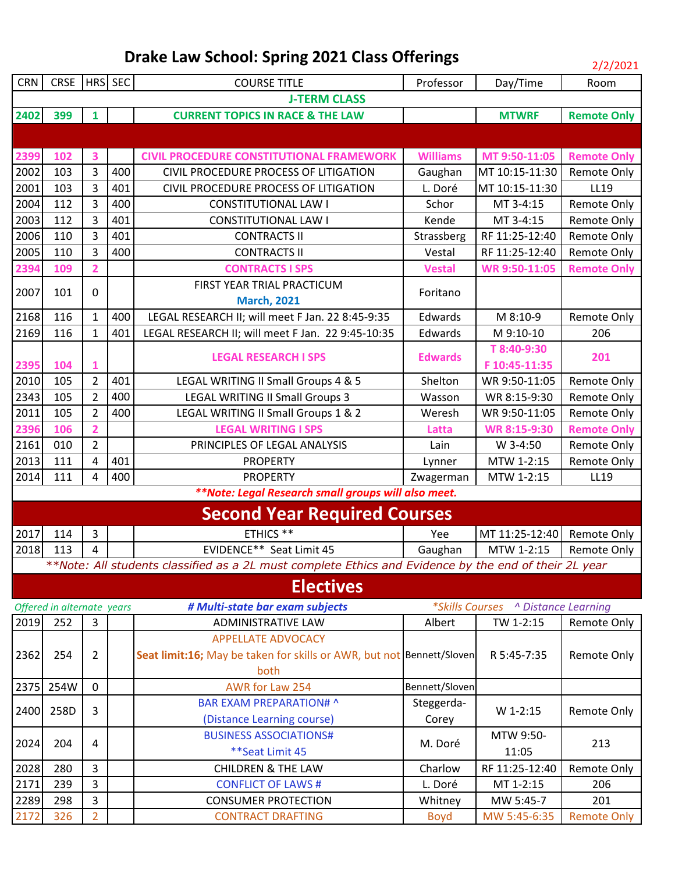| <b>CRN</b> | <b>CRSE</b>                |                | HRS SEC | <b>COURSE TITLE</b>                                                                                   | Professor       | Day/Time                            | Room               |  |  |  |
|------------|----------------------------|----------------|---------|-------------------------------------------------------------------------------------------------------|-----------------|-------------------------------------|--------------------|--|--|--|
|            | <b>J-TERM CLASS</b>        |                |         |                                                                                                       |                 |                                     |                    |  |  |  |
| 2402       | 399                        | $\mathbf{1}$   |         | <b>CURRENT TOPICS IN RACE &amp; THE LAW</b>                                                           |                 | <b>MTWRF</b>                        | <b>Remote Only</b> |  |  |  |
|            |                            |                |         |                                                                                                       |                 |                                     |                    |  |  |  |
| 2399       | 102                        | 3              |         | <b>CIVIL PROCEDURE CONSTITUTIONAL FRAMEWORK</b>                                                       | <b>Williams</b> | MT 9:50-11:05                       | <b>Remote Only</b> |  |  |  |
| 2002       | 103                        | 3              | 400     | CIVIL PROCEDURE PROCESS OF LITIGATION                                                                 | Gaughan         | MT 10:15-11:30                      | <b>Remote Only</b> |  |  |  |
| 2001       | 103                        | 3              | 401     | CIVIL PROCEDURE PROCESS OF LITIGATION                                                                 | L. Doré         | MT 10:15-11:30                      | LL19               |  |  |  |
| 2004       | 112                        | 3              | 400     | <b>CONSTITUTIONAL LAW I</b>                                                                           | Schor           | MT 3-4:15                           | Remote Only        |  |  |  |
| 2003       | 112                        | 3              | 401     | <b>CONSTITUTIONAL LAW I</b>                                                                           | Kende           | MT 3-4:15                           | <b>Remote Only</b> |  |  |  |
| 2006       | 110                        | 3              | 401     | <b>CONTRACTS II</b>                                                                                   | Strassberg      | RF 11:25-12:40                      | <b>Remote Only</b> |  |  |  |
| 2005       | 110                        | 3              | 400     | <b>CONTRACTS II</b>                                                                                   | Vestal          | RF 11:25-12:40                      | <b>Remote Only</b> |  |  |  |
| 2394       | 109                        | $\overline{2}$ |         | <b>CONTRACTS I SPS</b>                                                                                | <b>Vestal</b>   | WR 9:50-11:05                       | <b>Remote Only</b> |  |  |  |
|            |                            |                |         | FIRST YEAR TRIAL PRACTICUM                                                                            |                 |                                     |                    |  |  |  |
| 2007       | 101                        | $\mathbf 0$    |         | <b>March, 2021</b>                                                                                    | Foritano        |                                     |                    |  |  |  |
| 2168       | 116                        | $\mathbf{1}$   | 400     | LEGAL RESEARCH II; will meet F Jan. 22 8:45-9:35                                                      | Edwards         | M 8:10-9                            | Remote Only        |  |  |  |
| 2169       | 116                        | $\mathbf{1}$   | 401     | LEGAL RESEARCH II; will meet F Jan. 22 9:45-10:35                                                     | Edwards         | M 9:10-10                           | 206                |  |  |  |
|            |                            |                |         | <b>LEGAL RESEARCH I SPS</b>                                                                           | <b>Edwards</b>  | T 8:40-9:30                         | 201                |  |  |  |
| 2395       | 104                        | 1              |         |                                                                                                       |                 | F 10:45-11:35                       |                    |  |  |  |
| 2010       | 105                        | $\overline{2}$ | 401     | LEGAL WRITING II Small Groups 4 & 5                                                                   | Shelton         | WR 9:50-11:05                       | Remote Only        |  |  |  |
| 2343       | 105                        | $\overline{2}$ | 400     | LEGAL WRITING II Small Groups 3                                                                       | Wasson          | WR 8:15-9:30                        | Remote Only        |  |  |  |
| 2011       | 105                        | $\overline{2}$ | 400     | LEGAL WRITING II Small Groups 1 & 2                                                                   | Weresh          | WR 9:50-11:05                       | <b>Remote Only</b> |  |  |  |
| 2396       | 106                        | $\overline{2}$ |         | <b>LEGAL WRITING I SPS</b>                                                                            | Latta           | WR 8:15-9:30                        | <b>Remote Only</b> |  |  |  |
| 2161       | 010                        | $\overline{2}$ |         | PRINCIPLES OF LEGAL ANALYSIS                                                                          | Lain            | W 3-4:50                            | Remote Only        |  |  |  |
| 2013       | 111                        | $\overline{4}$ | 401     | <b>PROPERTY</b>                                                                                       | Lynner          | MTW 1-2:15                          | <b>Remote Only</b> |  |  |  |
| 2014       | 111                        | 4              | 400     | <b>PROPERTY</b>                                                                                       | Zwagerman       | MTW 1-2:15                          | LL19               |  |  |  |
|            |                            |                |         | **Note: Legal Research small groups will also meet.                                                   |                 |                                     |                    |  |  |  |
|            |                            |                |         | <b>Second Year Required Courses</b>                                                                   |                 |                                     |                    |  |  |  |
| 2017       | 114                        | 3              |         | ETHICS **                                                                                             | Yee             | MT 11:25-12:40                      | Remote Only        |  |  |  |
| 2018       | 113                        | 4              |         | EVIDENCE** Seat Limit 45                                                                              | Gaughan         | MTW 1-2:15                          | Remote Only        |  |  |  |
|            |                            |                |         | **Note: All students classified as a 2L must complete Ethics and Evidence by the end of their 2L year |                 |                                     |                    |  |  |  |
|            |                            |                |         | <b>Electives</b>                                                                                      |                 |                                     |                    |  |  |  |
|            | Offered in alternate years |                |         | # Multi-state bar exam subjects                                                                       |                 | *Skills Courses ^ Distance Learning |                    |  |  |  |
| 2019       | 252                        | 3              |         | <b>ADMINISTRATIVE LAW</b>                                                                             | Albert          | TW 1-2:15                           | Remote Only        |  |  |  |
|            |                            |                |         | <b>APPELLATE ADVOCACY</b>                                                                             |                 |                                     |                    |  |  |  |
| 2362       | 254                        | $\overline{2}$ |         | Seat limit:16; May be taken for skills or AWR, but not Bennett/Sloven                                 |                 | R 5:45-7:35                         | Remote Only        |  |  |  |
|            |                            |                |         | both                                                                                                  |                 |                                     |                    |  |  |  |
| 2375       | 254W                       | $\mathbf 0$    |         | AWR for Law 254                                                                                       | Bennett/Sloven  |                                     |                    |  |  |  |
| 2400       | 258D                       | 3              |         | <b>BAR EXAM PREPARATION# ^</b>                                                                        | Steggerda-      | W 1-2:15                            | <b>Remote Only</b> |  |  |  |
|            |                            |                |         | (Distance Learning course)                                                                            | Corey           |                                     |                    |  |  |  |
| 2024       | 204                        | 4              |         | <b>BUSINESS ASSOCIATIONS#</b>                                                                         | M. Doré         | MTW 9:50-                           | 213                |  |  |  |
|            |                            |                |         | ** Seat Limit 45                                                                                      |                 | 11:05                               |                    |  |  |  |
| 2028       | 280                        | 3              |         | <b>CHILDREN &amp; THE LAW</b>                                                                         | Charlow         | RF 11:25-12:40                      | Remote Only        |  |  |  |
| 2171       | 239                        | 3              |         | <b>CONFLICT OF LAWS#</b>                                                                              | L. Doré         | MT 1-2:15                           | 206                |  |  |  |
| 2289       | 298                        | 3              |         | <b>CONSUMER PROTECTION</b>                                                                            | Whitney         | MW 5:45-7                           | 201                |  |  |  |
| 2172       | 326                        | $\overline{2}$ |         | <b>CONTRACT DRAFTING</b>                                                                              | <b>Boyd</b>     | MW 5:45-6:35                        | <b>Remote Only</b> |  |  |  |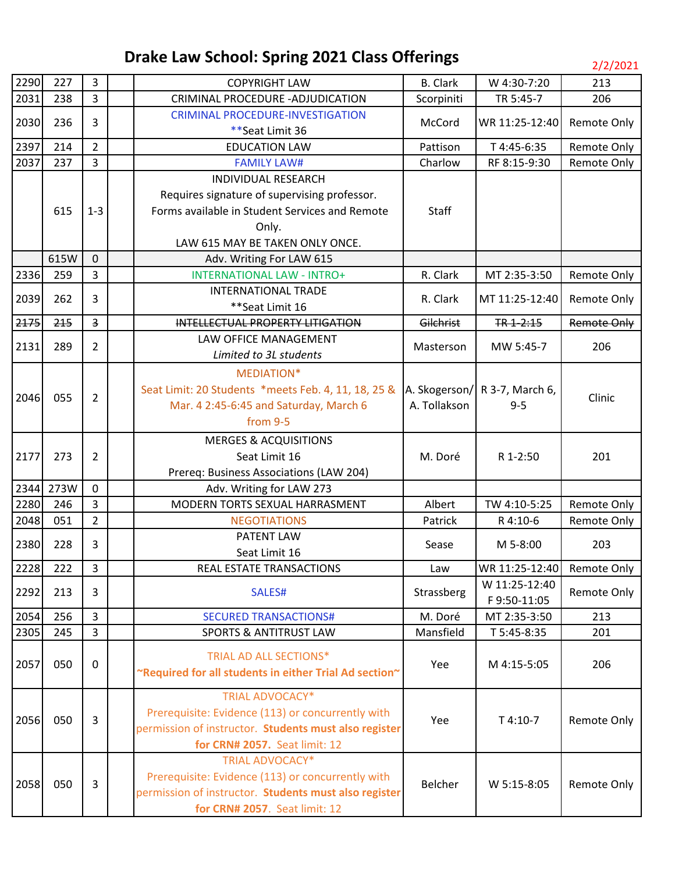| 2290 | 227  | 3                       | <b>COPYRIGHT LAW</b>                                   | <b>B.</b> Clark | W 4:30-7:20                   | 213                |
|------|------|-------------------------|--------------------------------------------------------|-----------------|-------------------------------|--------------------|
| 2031 | 238  | 3                       | CRIMINAL PROCEDURE - ADJUDICATION                      | Scorpiniti      | TR 5:45-7                     | 206                |
|      |      | 3                       | <b>CRIMINAL PROCEDURE-INVESTIGATION</b>                |                 |                               |                    |
| 2030 | 236  |                         | ** Seat Limit 36                                       | McCord          | WR 11:25-12:40                | Remote Only        |
| 2397 | 214  | $\overline{2}$          | <b>EDUCATION LAW</b>                                   | Pattison        | T 4:45-6:35                   | Remote Only        |
| 2037 | 237  | $\overline{3}$          | <b>FAMILY LAW#</b>                                     | Charlow         | RF 8:15-9:30                  | Remote Only        |
|      |      |                         | <b>INDIVIDUAL RESEARCH</b>                             |                 |                               |                    |
|      |      |                         | Requires signature of supervising professor.           |                 |                               |                    |
|      | 615  | $1 - 3$                 | Forms available in Student Services and Remote         | <b>Staff</b>    |                               |                    |
|      |      |                         | Only.                                                  |                 |                               |                    |
|      |      |                         | LAW 615 MAY BE TAKEN ONLY ONCE.                        |                 |                               |                    |
|      | 615W | $\mathbf 0$             | Adv. Writing For LAW 615                               |                 |                               |                    |
| 2336 | 259  | 3                       | <b>INTERNATIONAL LAW - INTRO+</b>                      | R. Clark        | MT 2:35-3:50                  | Remote Only        |
| 2039 | 262  | 3                       | <b>INTERNATIONAL TRADE</b>                             | R. Clark        | MT 11:25-12:40                | Remote Only        |
|      |      |                         | **Seat Limit 16                                        |                 |                               |                    |
| 2175 | 215  | $\overline{\mathbf{3}}$ | INTELLECTUAL PROPERTY LITIGATION                       | Gilchrist       | TR 1-2:15                     | <b>Remote Only</b> |
| 2131 | 289  | $\overline{2}$          | LAW OFFICE MANAGEMENT                                  | Masterson       | MW 5:45-7                     | 206                |
|      |      |                         | Limited to 3L students                                 |                 |                               |                    |
|      |      |                         | MEDIATION*                                             |                 |                               |                    |
| 2046 | 055  | $\overline{2}$          | Seat Limit: 20 Students *meets Feb. 4, 11, 18, 25 &    |                 | A. Skogerson/ R 3-7, March 6, | Clinic             |
|      |      |                         | Mar. 4 2:45-6:45 and Saturday, March 6                 | A. Tollakson    | $9 - 5$                       |                    |
|      |      |                         | from 9-5                                               |                 |                               |                    |
|      |      |                         | <b>MERGES &amp; ACQUISITIONS</b>                       |                 |                               |                    |
| 2177 | 273  | $\overline{2}$          | Seat Limit 16                                          | M. Doré         | R 1-2:50                      | 201                |
|      |      |                         | Prereq: Business Associations (LAW 204)                |                 |                               |                    |
| 2344 | 273W | $\mathbf 0$             | Adv. Writing for LAW 273                               |                 |                               |                    |
| 2280 | 246  | $\overline{3}$          | MODERN TORTS SEXUAL HARRASMENT                         | Albert          | TW 4:10-5:25                  | Remote Only        |
| 2048 | 051  | $\overline{2}$          | <b>NEGOTIATIONS</b>                                    | Patrick         | R 4:10-6                      | Remote Only        |
| 2380 | 228  | $\overline{3}$          | PATENT LAW                                             | Sease           | M 5-8:00                      | 203                |
|      |      |                         | Seat Limit 16                                          |                 |                               |                    |
| 2228 | 222  | 3                       | REAL ESTATE TRANSACTIONS                               | Law             | WR 11:25-12:40 Remote Only    |                    |
| 2292 | 213  | 3                       | SALES#                                                 | Strassberg      | W 11:25-12:40                 | <b>Remote Only</b> |
|      |      |                         |                                                        |                 | F9:50-11:05                   |                    |
| 2054 | 256  | $\overline{3}$          | <b>SECURED TRANSACTIONS#</b>                           | M. Doré         | MT 2:35-3:50                  | 213                |
| 2305 | 245  | $\overline{3}$          | <b>SPORTS &amp; ANTITRUST LAW</b>                      | Mansfield       | T 5:45-8:35                   | 201                |
|      |      |                         | TRIAL AD ALL SECTIONS*                                 |                 |                               |                    |
| 2057 | 050  | 0                       | "Required for all students in either Trial Ad section" | Yee             | M 4:15-5:05                   | 206                |
|      |      |                         |                                                        |                 |                               |                    |
|      |      |                         | <b>TRIAL ADVOCACY*</b>                                 |                 |                               |                    |
| 2056 | 050  | $\overline{3}$          | Prerequisite: Evidence (113) or concurrently with      | Yee             | T 4:10-7                      | Remote Only        |
|      |      |                         | permission of instructor. Students must also register  |                 |                               |                    |
|      |      |                         | for CRN# 2057. Seat limit: 12                          |                 |                               |                    |
|      |      |                         | <b>TRIAL ADVOCACY*</b>                                 |                 |                               |                    |
| 2058 | 050  | $\overline{3}$          | Prerequisite: Evidence (113) or concurrently with      | Belcher         | W 5:15-8:05                   | Remote Only        |
|      |      |                         | permission of instructor. Students must also register  |                 |                               |                    |
|      |      |                         | for CRN# 2057. Seat limit: 12                          |                 |                               |                    |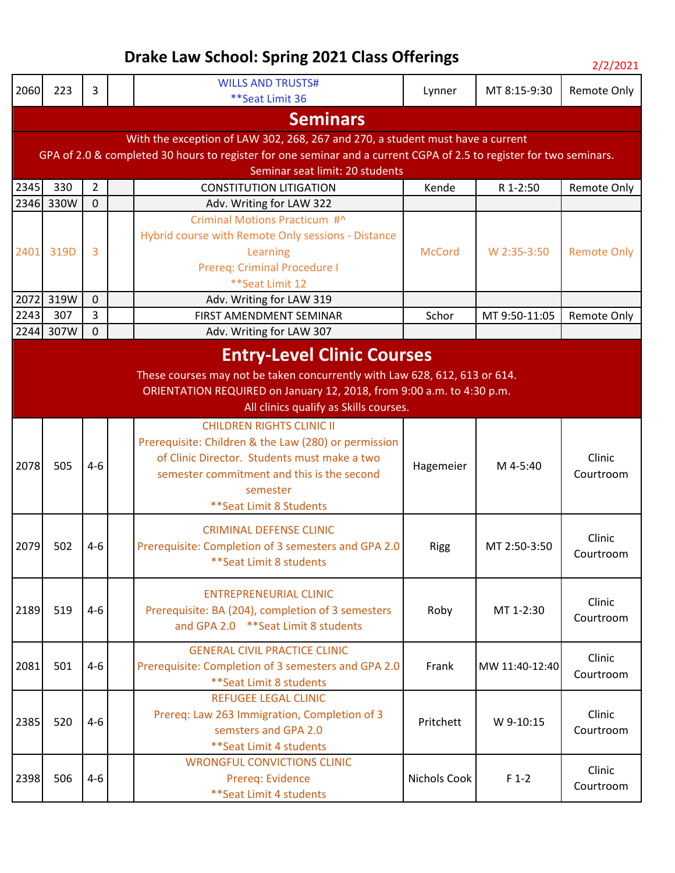| רי | /202 |  |
|----|------|--|
| ╯  |      |  |

| 2060                            | 223                                                                                                                 | 3              |  | <b>WILLS AND TRUSTS#</b>                                                       | Lynner        | MT 8:15-9:30             | <b>Remote Only</b>                                                                                                                         |  |  |  |
|---------------------------------|---------------------------------------------------------------------------------------------------------------------|----------------|--|--------------------------------------------------------------------------------|---------------|--------------------------|--------------------------------------------------------------------------------------------------------------------------------------------|--|--|--|
|                                 |                                                                                                                     |                |  | **Seat Limit 36                                                                |               |                          |                                                                                                                                            |  |  |  |
|                                 | <b>Seminars</b>                                                                                                     |                |  |                                                                                |               |                          |                                                                                                                                            |  |  |  |
|                                 |                                                                                                                     |                |  | With the exception of LAW 302, 268, 267 and 270, a student must have a current |               |                          |                                                                                                                                            |  |  |  |
|                                 | GPA of 2.0 & completed 30 hours to register for one seminar and a current CGPA of 2.5 to register for two seminars. |                |  |                                                                                |               |                          |                                                                                                                                            |  |  |  |
| Seminar seat limit: 20 students |                                                                                                                     |                |  |                                                                                |               |                          |                                                                                                                                            |  |  |  |
| 2345                            | 330                                                                                                                 | $\overline{2}$ |  | <b>CONSTITUTION LITIGATION</b>                                                 | Kende         | R 1-2:50                 | Remote Only                                                                                                                                |  |  |  |
| 2346                            | 330W                                                                                                                | $\overline{0}$ |  | Adv. Writing for LAW 322                                                       |               |                          |                                                                                                                                            |  |  |  |
|                                 |                                                                                                                     |                |  | Criminal Motions Practicum #^                                                  |               |                          |                                                                                                                                            |  |  |  |
|                                 |                                                                                                                     |                |  | Hybrid course with Remote Only sessions - Distance                             |               |                          |                                                                                                                                            |  |  |  |
| 2401                            | 319D                                                                                                                | 3              |  | Learning                                                                       | <b>McCord</b> | W 2:35-3:50              |                                                                                                                                            |  |  |  |
|                                 |                                                                                                                     |                |  | Prereq: Criminal Procedure I                                                   |               |                          |                                                                                                                                            |  |  |  |
|                                 |                                                                                                                     |                |  | **Seat Limit 12                                                                |               |                          |                                                                                                                                            |  |  |  |
| 2072                            | 319W                                                                                                                | $\mathbf 0$    |  | Adv. Writing for LAW 319                                                       |               |                          |                                                                                                                                            |  |  |  |
| 2243                            | 307                                                                                                                 | 3              |  | FIRST AMENDMENT SEMINAR                                                        | Schor         | MT 9:50-11:05            |                                                                                                                                            |  |  |  |
| 2244                            | 307W                                                                                                                | $\mathbf 0$    |  | Adv. Writing for LAW 307                                                       |               |                          |                                                                                                                                            |  |  |  |
|                                 |                                                                                                                     |                |  | <b>Entry-Level Clinic Courses</b>                                              |               |                          |                                                                                                                                            |  |  |  |
|                                 |                                                                                                                     |                |  | These courses may not be taken concurrently with Law 628, 612, 613 or 614.     |               |                          |                                                                                                                                            |  |  |  |
|                                 |                                                                                                                     |                |  | ORIENTATION REQUIRED on January 12, 2018, from 9:00 a.m. to 4:30 p.m.          |               |                          |                                                                                                                                            |  |  |  |
|                                 |                                                                                                                     |                |  | All clinics qualify as Skills courses.                                         |               |                          |                                                                                                                                            |  |  |  |
|                                 |                                                                                                                     |                |  | <b>CHILDREN RIGHTS CLINIC II</b>                                               |               |                          |                                                                                                                                            |  |  |  |
|                                 | 505                                                                                                                 |                |  | Prerequisite: Children & the Law (280) or permission                           | Hagemeier     |                          |                                                                                                                                            |  |  |  |
|                                 |                                                                                                                     |                |  | of Clinic Director. Students must make a two                                   |               |                          | Clinic<br>Courtroom                                                                                                                        |  |  |  |
| 2078                            |                                                                                                                     | $4 - 6$        |  | semester commitment and this is the second                                     |               | M 4-5:40                 |                                                                                                                                            |  |  |  |
|                                 |                                                                                                                     |                |  | semester                                                                       |               |                          |                                                                                                                                            |  |  |  |
|                                 |                                                                                                                     |                |  | ** Seat Limit 8 Students                                                       |               |                          |                                                                                                                                            |  |  |  |
|                                 |                                                                                                                     |                |  |                                                                                |               |                          |                                                                                                                                            |  |  |  |
|                                 |                                                                                                                     | $4 - 6$        |  | <b>CRIMINAL DEFENSE CLINIC</b>                                                 |               |                          | Clinic                                                                                                                                     |  |  |  |
| 2079                            | 502                                                                                                                 |                |  | Prerequisite: Completion of 3 semesters and GPA 2.0                            | <b>Rigg</b>   | MT 2:50-3:50             | <b>Remote Only</b><br>Remote Only<br>Courtroom<br>Clinic<br>Courtroom<br>Clinic<br>Courtroom<br>Clinic<br>Courtroom<br>Clinic<br>Courtroom |  |  |  |
|                                 |                                                                                                                     |                |  | ** Seat Limit 8 students                                                       |               |                          |                                                                                                                                            |  |  |  |
|                                 |                                                                                                                     |                |  |                                                                                |               |                          |                                                                                                                                            |  |  |  |
|                                 |                                                                                                                     |                |  | <b>ENTREPRENEURIAL CLINIC</b>                                                  |               |                          |                                                                                                                                            |  |  |  |
| 2189                            | 519                                                                                                                 | $4 - 6$        |  | Prerequisite: BA (204), completion of 3 semesters                              | Roby          | MT 1-2:30                |                                                                                                                                            |  |  |  |
|                                 |                                                                                                                     |                |  | and GPA 2.0 ** Seat Limit 8 students                                           |               |                          |                                                                                                                                            |  |  |  |
|                                 |                                                                                                                     |                |  | <b>GENERAL CIVIL PRACTICE CLINIC</b>                                           |               |                          |                                                                                                                                            |  |  |  |
| 2081                            | 501                                                                                                                 | $4-6$          |  | Prerequisite: Completion of 3 semesters and GPA 2.0                            | Frank         | MW 11:40-12:40           |                                                                                                                                            |  |  |  |
|                                 |                                                                                                                     |                |  | ** Seat Limit 8 students                                                       |               |                          |                                                                                                                                            |  |  |  |
|                                 |                                                                                                                     |                |  | <b>REFUGEE LEGAL CLINIC</b>                                                    |               |                          |                                                                                                                                            |  |  |  |
| 2385                            | 520                                                                                                                 | $4 - 6$        |  | Prereq: Law 263 Immigration, Completion of 3                                   | Pritchett     | W 9-10:15                |                                                                                                                                            |  |  |  |
|                                 |                                                                                                                     |                |  | semsters and GPA 2.0                                                           |               |                          |                                                                                                                                            |  |  |  |
|                                 |                                                                                                                     |                |  | ** Seat Limit 4 students                                                       |               |                          |                                                                                                                                            |  |  |  |
|                                 |                                                                                                                     |                |  | <b>WRONGFUL CONVICTIONS CLINIC</b>                                             |               |                          |                                                                                                                                            |  |  |  |
| 2398                            | 506                                                                                                                 | $4-6$          |  | Prereq: Evidence                                                               | Nichols Cook  | $F_1-2$                  |                                                                                                                                            |  |  |  |
|                                 |                                                                                                                     |                |  |                                                                                |               | ** Seat Limit 4 students |                                                                                                                                            |  |  |  |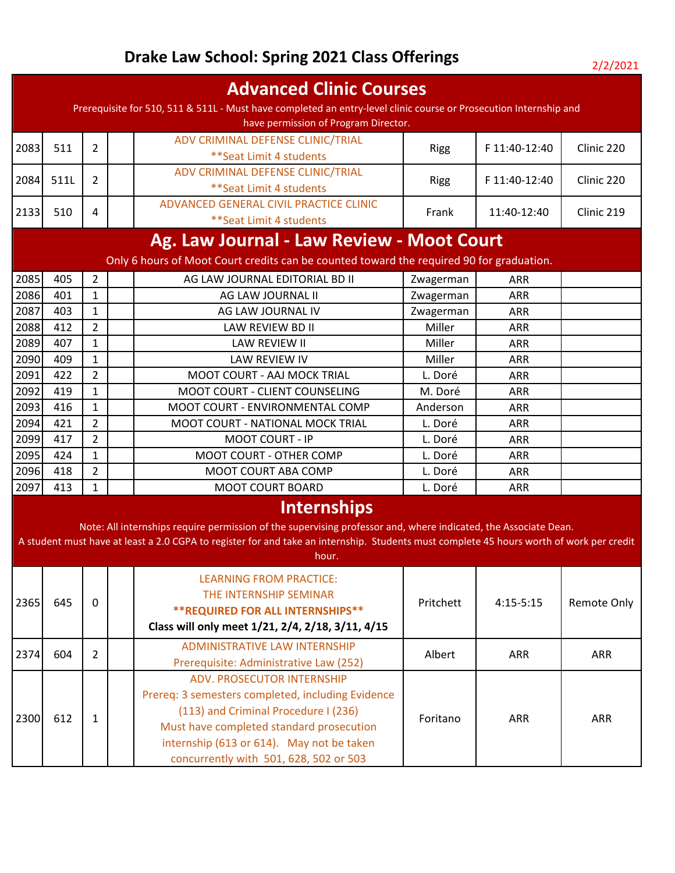|                                                                                          |      |                |  | <b>Advanced Clinic Courses</b>                                                                                                                                                                                                                                                      |             |               |                    |  |  |
|------------------------------------------------------------------------------------------|------|----------------|--|-------------------------------------------------------------------------------------------------------------------------------------------------------------------------------------------------------------------------------------------------------------------------------------|-------------|---------------|--------------------|--|--|
|                                                                                          |      |                |  | Prerequisite for 510, 511 & 511L - Must have completed an entry-level clinic course or Prosecution Internship and                                                                                                                                                                   |             |               |                    |  |  |
|                                                                                          |      |                |  | have permission of Program Director.                                                                                                                                                                                                                                                |             |               |                    |  |  |
| 2083                                                                                     | 511  | $\overline{2}$ |  | ADV CRIMINAL DEFENSE CLINIC/TRIAL<br>** Seat Limit 4 students                                                                                                                                                                                                                       | <b>Rigg</b> | F 11:40-12:40 | Clinic 220         |  |  |
| 2084                                                                                     | 511L | $\overline{2}$ |  | ADV CRIMINAL DEFENSE CLINIC/TRIAL<br>** Seat Limit 4 students                                                                                                                                                                                                                       | <b>Rigg</b> | F 11:40-12:40 | Clinic 220         |  |  |
| 2133                                                                                     | 510  | 4              |  | ADVANCED GENERAL CIVIL PRACTICE CLINIC<br>** Seat Limit 4 students                                                                                                                                                                                                                  | Frank       | 11:40-12:40   | Clinic 219         |  |  |
|                                                                                          |      |                |  | Ag. Law Journal - Law Review - Moot Court                                                                                                                                                                                                                                           |             |               |                    |  |  |
| Only 6 hours of Moot Court credits can be counted toward the required 90 for graduation. |      |                |  |                                                                                                                                                                                                                                                                                     |             |               |                    |  |  |
| 2085                                                                                     | 405  | $\overline{2}$ |  | AG LAW JOURNAL EDITORIAL BD II                                                                                                                                                                                                                                                      | Zwagerman   | <b>ARR</b>    |                    |  |  |
| 2086                                                                                     | 401  | $\mathbf{1}$   |  | AG LAW JOURNAL II                                                                                                                                                                                                                                                                   | Zwagerman   | <b>ARR</b>    |                    |  |  |
| 2087                                                                                     | 403  | $\mathbf{1}$   |  | AG LAW JOURNAL IV                                                                                                                                                                                                                                                                   | Zwagerman   | <b>ARR</b>    |                    |  |  |
| 2088                                                                                     | 412  | $\overline{2}$ |  | LAW REVIEW BD II                                                                                                                                                                                                                                                                    | Miller      | <b>ARR</b>    |                    |  |  |
| 2089                                                                                     | 407  | $\mathbf{1}$   |  | LAW REVIEW II                                                                                                                                                                                                                                                                       | Miller      | <b>ARR</b>    |                    |  |  |
| 2090                                                                                     | 409  | $\mathbf{1}$   |  | <b>LAW REVIEW IV</b>                                                                                                                                                                                                                                                                | Miller      | <b>ARR</b>    |                    |  |  |
| 2091                                                                                     | 422  | $\overline{2}$ |  | <b>MOOT COURT - AAJ MOCK TRIAL</b>                                                                                                                                                                                                                                                  | L. Doré     | <b>ARR</b>    |                    |  |  |
| 2092                                                                                     | 419  | $\mathbf{1}$   |  | MOOT COURT - CLIENT COUNSELING                                                                                                                                                                                                                                                      | M. Doré     | ARR           |                    |  |  |
| 2093                                                                                     | 416  | $\mathbf{1}$   |  | MOOT COURT - ENVIRONMENTAL COMP                                                                                                                                                                                                                                                     | Anderson    | <b>ARR</b>    |                    |  |  |
| 2094                                                                                     | 421  | $\overline{2}$ |  | MOOT COURT - NATIONAL MOCK TRIAL                                                                                                                                                                                                                                                    | L. Doré     | <b>ARR</b>    |                    |  |  |
| 2099                                                                                     | 417  | $\overline{2}$ |  | <b>MOOT COURT - IP</b>                                                                                                                                                                                                                                                              | L. Doré     | <b>ARR</b>    |                    |  |  |
| 2095                                                                                     | 424  | $\mathbf{1}$   |  | MOOT COURT - OTHER COMP                                                                                                                                                                                                                                                             | L. Doré     | <b>ARR</b>    |                    |  |  |
| 2096                                                                                     | 418  | $\overline{2}$ |  | MOOT COURT ABA COMP                                                                                                                                                                                                                                                                 | L. Doré     | ARR           |                    |  |  |
| 2097                                                                                     | 413  | $\mathbf{1}$   |  | <b>MOOT COURT BOARD</b>                                                                                                                                                                                                                                                             | L. Doré     | ARR           |                    |  |  |
|                                                                                          |      |                |  | Internships<br>Note: All internships require permission of the supervising professor and, where indicated, the Associate Dean.<br>A student must have at least a 2.0 CGPA to register for and take an internship. Students must complete 45 hours worth of work per credit<br>hour. |             |               |                    |  |  |
| 2365                                                                                     | 645  | $\mathbf{0}$   |  | <b>LEARNING FROM PRACTICE:</b><br>THE INTERNSHIP SEMINAR<br><b>**REQUIRED FOR ALL INTERNSHIPS**</b><br>Class will only meet 1/21, 2/4, 2/18, 3/11, 4/15                                                                                                                             | Pritchett   | $4:15-5:15$   | <b>Remote Only</b> |  |  |
| 2374                                                                                     | 604  | $\overline{2}$ |  | <b>ADMINISTRATIVE LAW INTERNSHIP</b><br>Prerequisite: Administrative Law (252)                                                                                                                                                                                                      | Albert      | <b>ARR</b>    | ARR                |  |  |
| 2300                                                                                     | 612  | 1              |  | <b>ADV. PROSECUTOR INTERNSHIP</b><br>Prereq: 3 semesters completed, including Evidence<br>(113) and Criminal Procedure I (236)<br>Must have completed standard prosecution<br>internship (613 or 614). May not be taken<br>concurrently with 501, 628, 502 or 503                   | Foritano    | <b>ARR</b>    | ARR                |  |  |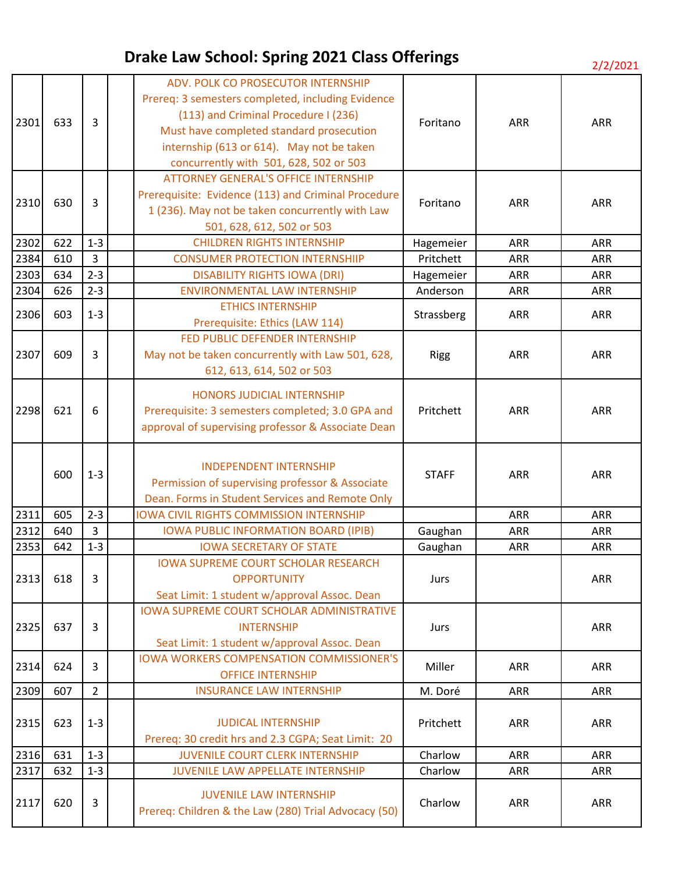| 2301 | 633 | 3              | ADV. POLK CO PROSECUTOR INTERNSHIP<br>Prereq: 3 semesters completed, including Evidence<br>(113) and Criminal Procedure I (236)<br>Must have completed standard prosecution<br>internship (613 or 614). May not be taken<br>concurrently with 501, 628, 502 or 503 | Foritano     | ARR        | ARR        |
|------|-----|----------------|--------------------------------------------------------------------------------------------------------------------------------------------------------------------------------------------------------------------------------------------------------------------|--------------|------------|------------|
| 2310 | 630 | 3              | <b>ATTORNEY GENERAL'S OFFICE INTERNSHIP</b><br>Prerequisite: Evidence (113) and Criminal Procedure<br>1 (236). May not be taken concurrently with Law<br>501, 628, 612, 502 or 503                                                                                 | Foritano     | <b>ARR</b> | <b>ARR</b> |
| 2302 | 622 | $1 - 3$        | <b>CHILDREN RIGHTS INTERNSHIP</b>                                                                                                                                                                                                                                  | Hagemeier    | ARR        | <b>ARR</b> |
| 2384 | 610 | 3              | <b>CONSUMER PROTECTION INTERNSHIIP</b>                                                                                                                                                                                                                             | Pritchett    | ARR        | <b>ARR</b> |
| 2303 | 634 | $2 - 3$        | <b>DISABILITY RIGHTS IOWA (DRI)</b>                                                                                                                                                                                                                                | Hagemeier    | ARR        | ARR        |
| 2304 | 626 | $2 - 3$        | <b>ENVIRONMENTAL LAW INTERNSHIP</b>                                                                                                                                                                                                                                | Anderson     | <b>ARR</b> | <b>ARR</b> |
| 2306 | 603 | $1 - 3$        | <b>ETHICS INTERNSHIP</b><br>Prerequisite: Ethics (LAW 114)                                                                                                                                                                                                         | Strassberg   | ARR        | ARR        |
| 2307 | 609 | 3              | FED PUBLIC DEFENDER INTERNSHIP<br>May not be taken concurrently with Law 501, 628,<br>612, 613, 614, 502 or 503                                                                                                                                                    | <b>Rigg</b>  | <b>ARR</b> | <b>ARR</b> |
| 2298 | 621 | 6              | <b>HONORS JUDICIAL INTERNSHIP</b><br>Prerequisite: 3 semesters completed; 3.0 GPA and<br>approval of supervising professor & Associate Dean                                                                                                                        | Pritchett    | <b>ARR</b> | <b>ARR</b> |
|      | 600 | $1 - 3$        | <b>INDEPENDENT INTERNSHIP</b><br>Permission of supervising professor & Associate<br>Dean. Forms in Student Services and Remote Only                                                                                                                                | <b>STAFF</b> | ARR        | ARR        |
| 2311 | 605 | $2 - 3$        | <b>IOWA CIVIL RIGHTS COMMISSION INTERNSHIP</b>                                                                                                                                                                                                                     |              | ARR        | <b>ARR</b> |
| 2312 | 640 | 3              | <b>IOWA PUBLIC INFORMATION BOARD (IPIB)</b>                                                                                                                                                                                                                        | Gaughan      | <b>ARR</b> | <b>ARR</b> |
| 2353 | 642 | $1 - 3$        | <b>IOWA SECRETARY OF STATE</b>                                                                                                                                                                                                                                     | Gaughan      | ARR        | ARR        |
| 2313 | 618 | 3              | <b>IOWA SUPREME COURT SCHOLAR RESEARCH</b><br><b>OPPORTUNITY</b><br>Seat Limit: 1 student w/approval Assoc. Dean                                                                                                                                                   | Jurs         |            | ARR        |
| 2325 | 637 | 3              | <b>IOWA SUPREME COURT SCHOLAR ADMINISTRATIVE</b><br><b>INTERNSHIP</b><br>Seat Limit: 1 student w/approval Assoc. Dean                                                                                                                                              | Jurs         |            | <b>ARR</b> |
| 2314 | 624 | 3              | <b>IOWA WORKERS COMPENSATION COMMISSIONER'S</b><br><b>OFFICE INTERNSHIP</b>                                                                                                                                                                                        | Miller       | <b>ARR</b> | <b>ARR</b> |
| 2309 | 607 | $\overline{2}$ | <b>INSURANCE LAW INTERNSHIP</b>                                                                                                                                                                                                                                    | M. Doré      | ARR        | ARR        |
| 2315 | 623 | $1 - 3$        | <b>JUDICAL INTERNSHIP</b><br>Prereq: 30 credit hrs and 2.3 CGPA; Seat Limit: 20                                                                                                                                                                                    | Pritchett    | <b>ARR</b> | <b>ARR</b> |
| 2316 | 631 | $1 - 3$        | <b>JUVENILE COURT CLERK INTERNSHIP</b>                                                                                                                                                                                                                             | Charlow      | ARR        | <b>ARR</b> |
| 2317 | 632 | $1 - 3$        | JUVENILE LAW APPELLATE INTERNSHIP                                                                                                                                                                                                                                  | Charlow      | ARR        | <b>ARR</b> |
| 2117 | 620 | 3              | <b>JUVENILE LAW INTERNSHIP</b><br>Prereq: Children & the Law (280) Trial Advocacy (50)                                                                                                                                                                             | Charlow      | <b>ARR</b> | <b>ARR</b> |